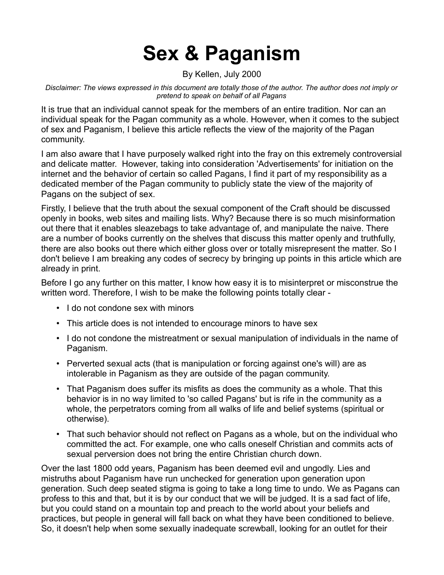# **Sex & Paganism**

By Kellen, July 2000

*Disclaimer: The views expressed in this document are totally those of the author. The author does not imply or pretend to speak on behalf of all Pagans*

It is true that an individual cannot speak for the members of an entire tradition. Nor can an individual speak for the Pagan community as a whole. However, when it comes to the subject of sex and Paganism, I believe this article reflects the view of the majority of the Pagan community.

I am also aware that I have purposely walked right into the fray on this extremely controversial and delicate matter. However, taking into consideration 'Advertisements' for initiation on the internet and the behavior of certain so called Pagans, I find it part of my responsibility as a dedicated member of the Pagan community to publicly state the view of the majority of Pagans on the subject of sex.

Firstly, I believe that the truth about the sexual component of the Craft should be discussed openly in books, web sites and mailing lists. Why? Because there is so much misinformation out there that it enables sleazebags to take advantage of, and manipulate the naive. There are a number of books currently on the shelves that discuss this matter openly and truthfully, there are also books out there which either gloss over or totally misrepresent the matter. So I don't believe I am breaking any codes of secrecy by bringing up points in this article which are already in print.

Before I go any further on this matter, I know how easy it is to misinterpret or misconstrue the written word. Therefore, I wish to be make the following points totally clear -

- I do not condone sex with minors
- This article does is not intended to encourage minors to have sex
- I do not condone the mistreatment or sexual manipulation of individuals in the name of Paganism.
- Perverted sexual acts (that is manipulation or forcing against one's will) are as intolerable in Paganism as they are outside of the pagan community.
- That Paganism does suffer its misfits as does the community as a whole. That this behavior is in no way limited to 'so called Pagans' but is rife in the community as a whole, the perpetrators coming from all walks of life and belief systems (spiritual or otherwise).
- That such behavior should not reflect on Pagans as a whole, but on the individual who committed the act. For example, one who calls oneself Christian and commits acts of sexual perversion does not bring the entire Christian church down.

Over the last 1800 odd years, Paganism has been deemed evil and ungodly. Lies and mistruths about Paganism have run unchecked for generation upon generation upon generation. Such deep seated stigma is going to take a long time to undo. We as Pagans can profess to this and that, but it is by our conduct that we will be judged. It is a sad fact of life, but you could stand on a mountain top and preach to the world about your beliefs and practices, but people in general will fall back on what they have been conditioned to believe. So, it doesn't help when some sexually inadequate screwball, looking for an outlet for their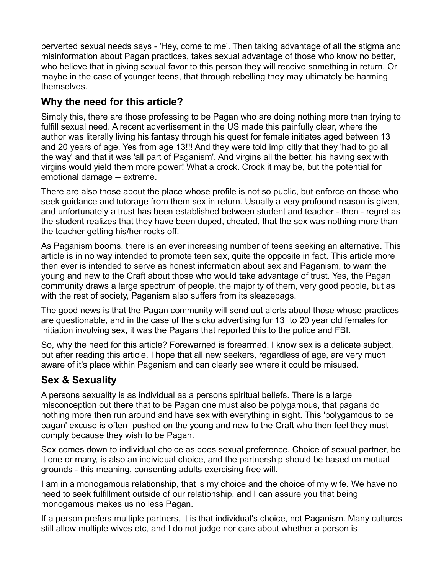perverted sexual needs says - 'Hey, come to me'. Then taking advantage of all the stigma and misinformation about Pagan practices, takes sexual advantage of those who know no better, who believe that in giving sexual favor to this person they will receive something in return. Or maybe in the case of younger teens, that through rebelling they may ultimately be harming themselves.

## **Why the need for this article?**

Simply this, there are those professing to be Pagan who are doing nothing more than trying to fulfill sexual need. A recent advertisement in the US made this painfully clear, where the author was literally living his fantasy through his quest for female initiates aged between 13 and 20 years of age. Yes from age 13!!! And they were told implicitly that they 'had to go all the way' and that it was 'all part of Paganism'. And virgins all the better, his having sex with virgins would yield them more power! What a crock. Crock it may be, but the potential for emotional damage -- extreme.

There are also those about the place whose profile is not so public, but enforce on those who seek guidance and tutorage from them sex in return. Usually a very profound reason is given, and unfortunately a trust has been established between student and teacher - then - regret as the student realizes that they have been duped, cheated, that the sex was nothing more than the teacher getting his/her rocks off.

As Paganism booms, there is an ever increasing number of teens seeking an alternative. This article is in no way intended to promote teen sex, quite the opposite in fact. This article more then ever is intended to serve as honest information about sex and Paganism, to warn the young and new to the Craft about those who would take advantage of trust. Yes, the Pagan community draws a large spectrum of people, the majority of them, very good people, but as with the rest of society, Paganism also suffers from its sleazebags.

The good news is that the Pagan community will send out alerts about those whose practices are questionable, and in the case of the sicko advertising for 13 to 20 year old females for initiation involving sex, it was the Pagans that reported this to the police and FBI.

So, why the need for this article? Forewarned is forearmed. I know sex is a delicate subject, but after reading this article, I hope that all new seekers, regardless of age, are very much aware of it's place within Paganism and can clearly see where it could be misused.

### **Sex & Sexuality**

A persons sexuality is as individual as a persons spiritual beliefs. There is a large misconception out there that to be Pagan one must also be polygamous, that pagans do nothing more then run around and have sex with everything in sight. This 'polygamous to be pagan' excuse is often pushed on the young and new to the Craft who then feel they must comply because they wish to be Pagan.

Sex comes down to individual choice as does sexual preference. Choice of sexual partner, be it one or many, is also an individual choice, and the partnership should be based on mutual grounds - this meaning, consenting adults exercising free will.

I am in a monogamous relationship, that is my choice and the choice of my wife. We have no need to seek fulfillment outside of our relationship, and I can assure you that being monogamous makes us no less Pagan.

If a person prefers multiple partners, it is that individual's choice, not Paganism. Many cultures still allow multiple wives etc, and I do not judge nor care about whether a person is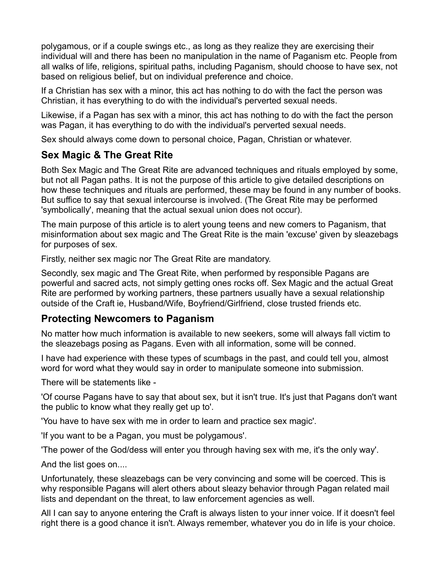polygamous, or if a couple swings etc., as long as they realize they are exercising their individual will and there has been no manipulation in the name of Paganism etc. People from all walks of life, religions, spiritual paths, including Paganism, should choose to have sex, not based on religious belief, but on individual preference and choice.

If a Christian has sex with a minor, this act has nothing to do with the fact the person was Christian, it has everything to do with the individual's perverted sexual needs.

Likewise, if a Pagan has sex with a minor, this act has nothing to do with the fact the person was Pagan, it has everything to do with the individual's perverted sexual needs.

Sex should always come down to personal choice, Pagan, Christian or whatever.

### **Sex Magic & The Great Rite**

Both Sex Magic and The Great Rite are advanced techniques and rituals employed by some, but not all Pagan paths. It is not the purpose of this article to give detailed descriptions on how these techniques and rituals are performed, these may be found in any number of books. But suffice to say that sexual intercourse is involved. (The Great Rite may be performed 'symbolically', meaning that the actual sexual union does not occur).

The main purpose of this article is to alert young teens and new comers to Paganism, that misinformation about sex magic and The Great Rite is the main 'excuse' given by sleazebags for purposes of sex.

Firstly, neither sex magic nor The Great Rite are mandatory.

Secondly, sex magic and The Great Rite, when performed by responsible Pagans are powerful and sacred acts, not simply getting ones rocks off. Sex Magic and the actual Great Rite are performed by working partners, these partners usually have a sexual relationship outside of the Craft ie, Husband/Wife, Boyfriend/Girlfriend, close trusted friends etc.

#### **Protecting Newcomers to Paganism**

No matter how much information is available to new seekers, some will always fall victim to the sleazebags posing as Pagans. Even with all information, some will be conned.

I have had experience with these types of scumbags in the past, and could tell you, almost word for word what they would say in order to manipulate someone into submission.

There will be statements like -

'Of course Pagans have to say that about sex, but it isn't true. It's just that Pagans don't want the public to know what they really get up to'.

'You have to have sex with me in order to learn and practice sex magic'.

'If you want to be a Pagan, you must be polygamous'.

'The power of the God/dess will enter you through having sex with me, it's the only way'.

And the list goes on....

Unfortunately, these sleazebags can be very convincing and some will be coerced. This is why responsible Pagans will alert others about sleazy behavior through Pagan related mail lists and dependant on the threat, to law enforcement agencies as well.

All I can say to anyone entering the Craft is always listen to your inner voice. If it doesn't feel right there is a good chance it isn't. Always remember, whatever you do in life is your choice.